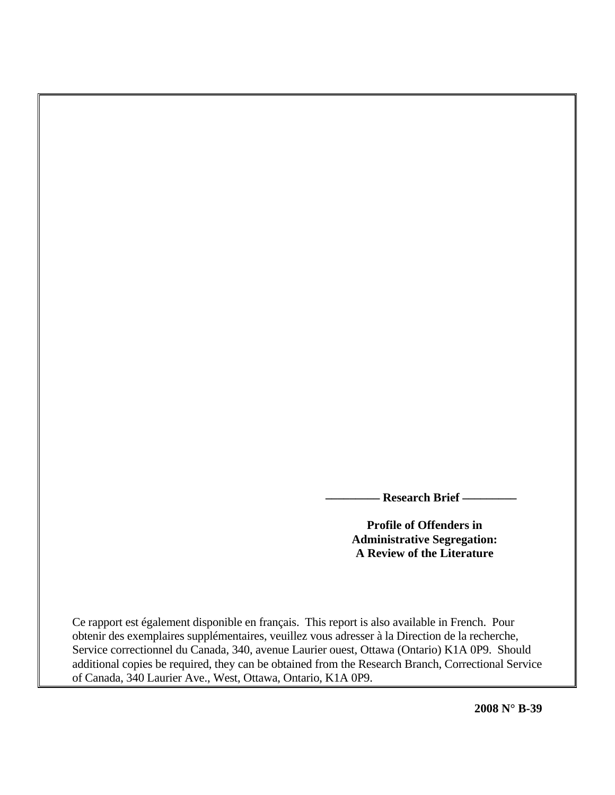**\_\_\_\_\_\_\_\_\_ Research Brief \_\_\_\_\_\_\_\_\_** 

**Profile of Offenders in Administrative Segregation: A Review of the Literature** 

Ce rapport est également disponible en français. This report is also available in French. Pour obtenir des exemplaires supplémentaires, veuillez vous adresser à la Direction de la recherche, Service correctionnel du Canada, 340, avenue Laurier ouest, Ottawa (Ontario) K1A 0P9. Should additional copies be required, they can be obtained from the Research Branch, Correctional Service of Canada, 340 Laurier Ave., West, Ottawa, Ontario, K1A 0P9.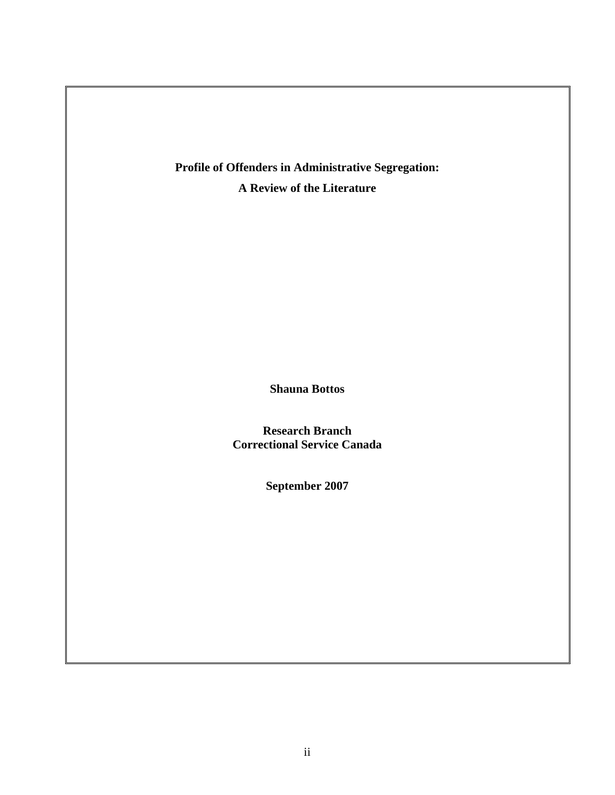**Profile of Offenders in Administrative Segregation: A Review of the Literature** 

**Shauna Bottos** 

**Research Branch Correctional Service Canada** 

**September 2007**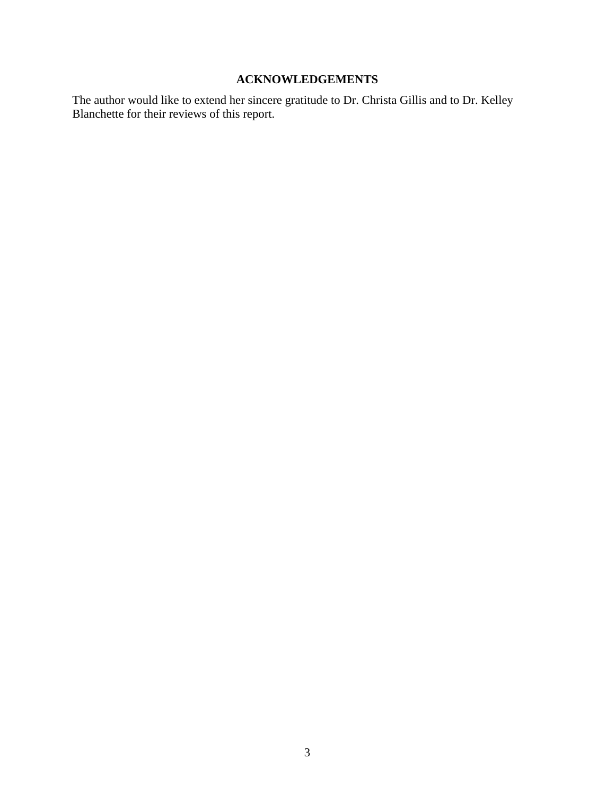## **ACKNOWLEDGEMENTS**

<span id="page-2-0"></span>The author would like to extend her sincere gratitude to Dr. Christa Gillis and to Dr. Kelley Blanchette for their reviews of this report.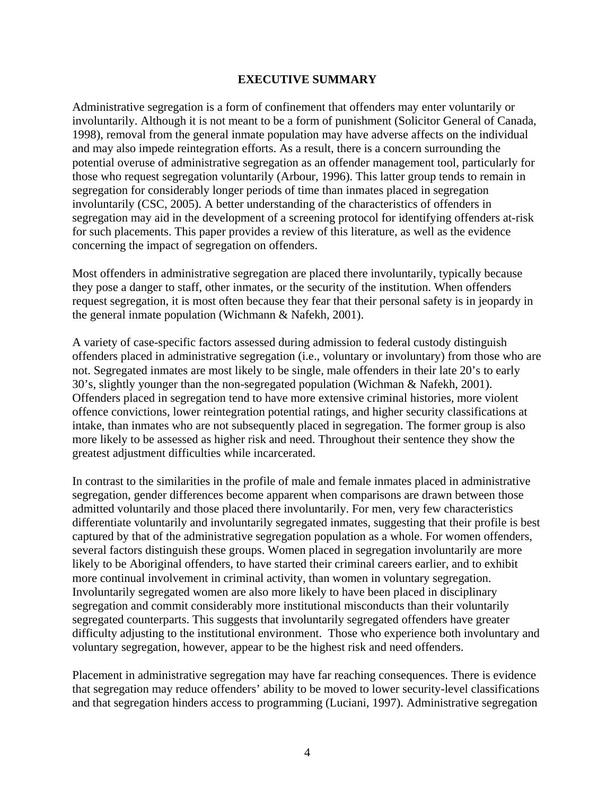## **EXECUTIVE SUMMARY**

<span id="page-3-0"></span>Administrative segregation is a form of confinement that offenders may enter voluntarily or involuntarily. Although it is not meant to be a form of punishment (Solicitor General of Canada, 1998), removal from the general inmate population may have adverse affects on the individual and may also impede reintegration efforts. As a result, there is a concern surrounding the potential overuse of administrative segregation as an offender management tool, particularly for those who request segregation voluntarily (Arbour, 1996). This latter group tends to remain in segregation for considerably longer periods of time than inmates placed in segregation involuntarily (CSC, 2005). A better understanding of the characteristics of offenders in segregation may aid in the development of a screening protocol for identifying offenders at-risk for such placements. This paper provides a review of this literature, as well as the evidence concerning the impact of segregation on offenders.

Most offenders in administrative segregation are placed there involuntarily, typically because they pose a danger to staff, other inmates, or the security of the institution. When offenders request segregation, it is most often because they fear that their personal safety is in jeopardy in the general inmate population (Wichmann & Nafekh, 2001).

A variety of case-specific factors assessed during admission to federal custody distinguish offenders placed in administrative segregation (i.e., voluntary or involuntary) from those who are not. Segregated inmates are most likely to be single, male offenders in their late 20's to early 30's, slightly younger than the non-segregated population (Wichman & Nafekh, 2001). Offenders placed in segregation tend to have more extensive criminal histories, more violent offence convictions, lower reintegration potential ratings, and higher security classifications at intake, than inmates who are not subsequently placed in segregation. The former group is also more likely to be assessed as higher risk and need. Throughout their sentence they show the greatest adjustment difficulties while incarcerated.

In contrast to the similarities in the profile of male and female inmates placed in administrative segregation, gender differences become apparent when comparisons are drawn between those admitted voluntarily and those placed there involuntarily. For men, very few characteristics differentiate voluntarily and involuntarily segregated inmates, suggesting that their profile is best captured by that of the administrative segregation population as a whole. For women offenders, several factors distinguish these groups. Women placed in segregation involuntarily are more likely to be Aboriginal offenders, to have started their criminal careers earlier, and to exhibit more continual involvement in criminal activity, than women in voluntary segregation. Involuntarily segregated women are also more likely to have been placed in disciplinary segregation and commit considerably more institutional misconducts than their voluntarily segregated counterparts. This suggests that involuntarily segregated offenders have greater difficulty adjusting to the institutional environment. Those who experience both involuntary and voluntary segregation, however, appear to be the highest risk and need offenders.

Placement in administrative segregation may have far reaching consequences. There is evidence that segregation may reduce offenders' ability to be moved to lower security-level classifications and that segregation hinders access to programming (Luciani, 1997). Administrative segregation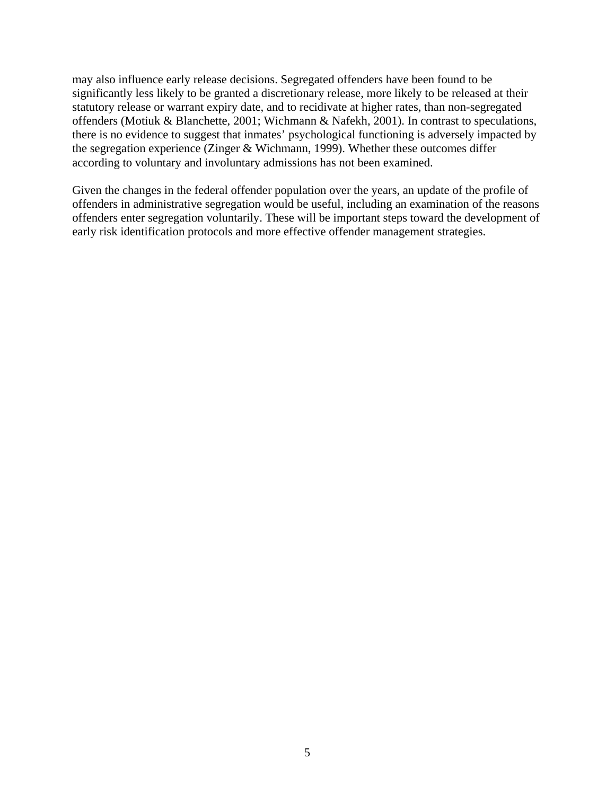may also influence early release decisions. Segregated offenders have been found to be significantly less likely to be granted a discretionary release, more likely to be released at their statutory release or warrant expiry date, and to recidivate at higher rates, than non-segregated offenders (Motiuk & Blanchette, 2001; Wichmann & Nafekh, 2001). In contrast to speculations, there is no evidence to suggest that inmates' psychological functioning is adversely impacted by the segregation experience (Zinger & Wichmann, 1999). Whether these outcomes differ according to voluntary and involuntary admissions has not been examined.

Given the changes in the federal offender population over the years, an update of the profile of offenders in administrative segregation would be useful, including an examination of the reasons offenders enter segregation voluntarily. These will be important steps toward the development of early risk identification protocols and more effective offender management strategies.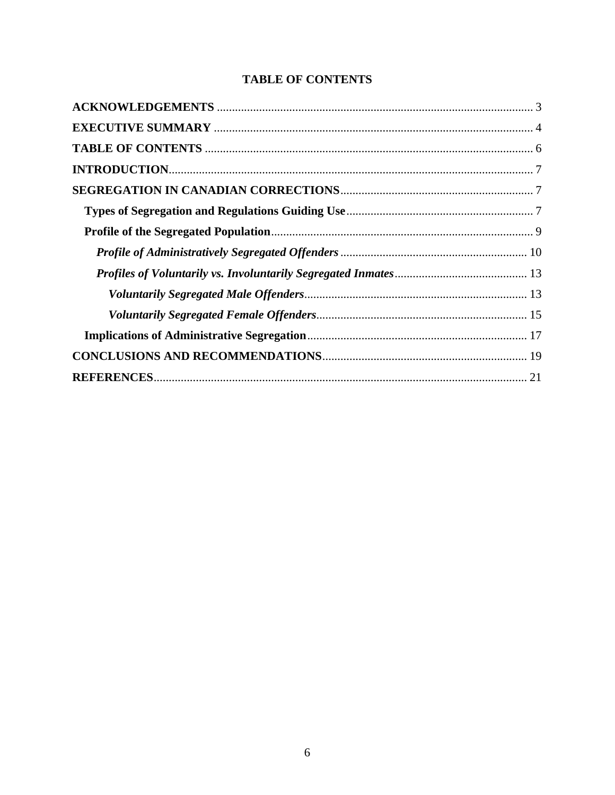# **TABLE OF CONTENTS**

<span id="page-5-0"></span>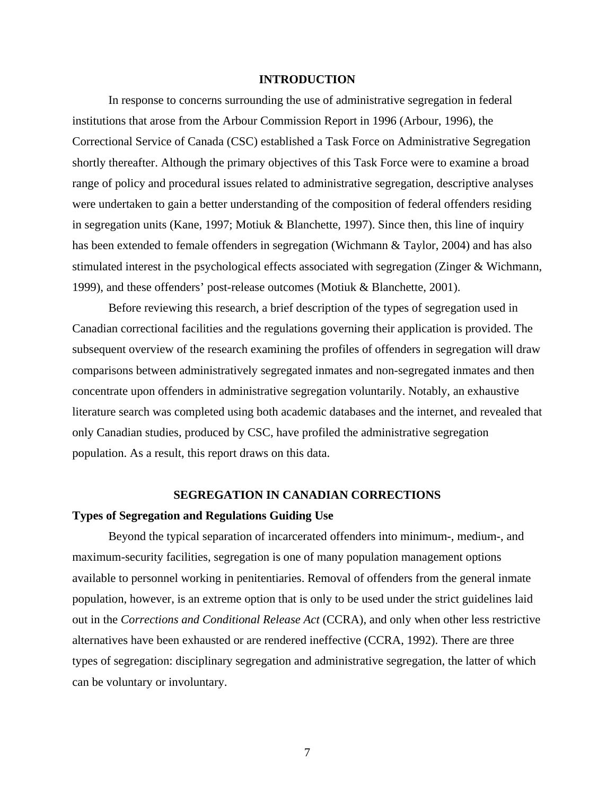## **INTRODUCTION**

<span id="page-6-0"></span> In response to concerns surrounding the use of administrative segregation in federal institutions that arose from the Arbour Commission Report in 1996 (Arbour, 1996), the Correctional Service of Canada (CSC) established a Task Force on Administrative Segregation shortly thereafter. Although the primary objectives of this Task Force were to examine a broad range of policy and procedural issues related to administrative segregation, descriptive analyses were undertaken to gain a better understanding of the composition of federal offenders residing in segregation units (Kane, 1997; Motiuk & Blanchette, 1997). Since then, this line of inquiry has been extended to female offenders in segregation (Wichmann & Taylor, 2004) and has also stimulated interest in the psychological effects associated with segregation (Zinger & Wichmann, 1999), and these offenders' post-release outcomes (Motiuk & Blanchette, 2001).

Before reviewing this research, a brief description of the types of segregation used in Canadian correctional facilities and the regulations governing their application is provided. The subsequent overview of the research examining the profiles of offenders in segregation will draw comparisons between administratively segregated inmates and non-segregated inmates and then concentrate upon offenders in administrative segregation voluntarily. Notably, an exhaustive literature search was completed using both academic databases and the internet, and revealed that only Canadian studies, produced by CSC, have profiled the administrative segregation population. As a result, this report draws on this data.

#### **SEGREGATION IN CANADIAN CORRECTIONS**

## **Types of Segregation and Regulations Guiding Use**

Beyond the typical separation of incarcerated offenders into minimum-, medium-, and maximum-security facilities, segregation is one of many population management options available to personnel working in penitentiaries. Removal of offenders from the general inmate population, however, is an extreme option that is only to be used under the strict guidelines laid out in the *Corrections and Conditional Release Act* (CCRA), and only when other less restrictive alternatives have been exhausted or are rendered ineffective (CCRA, 1992). There are three types of segregation: disciplinary segregation and administrative segregation, the latter of which can be voluntary or involuntary.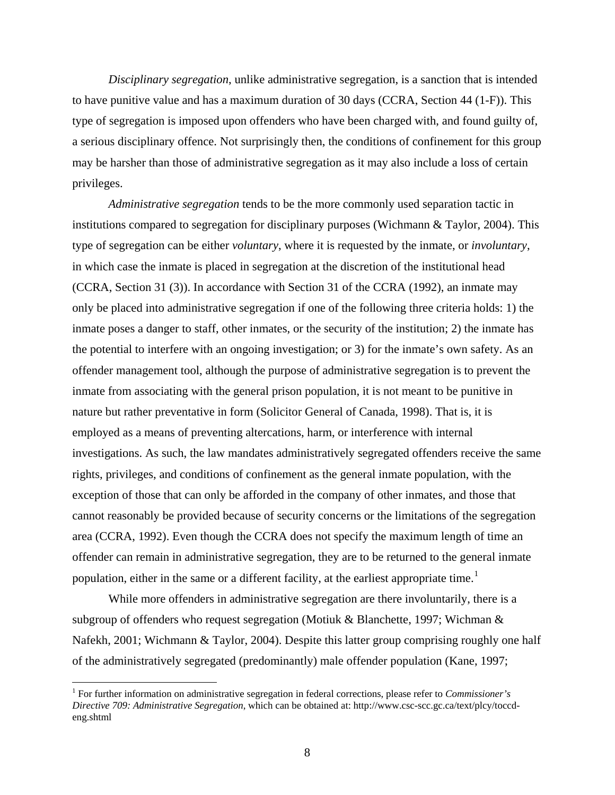*Disciplinary segregation*, unlike administrative segregation, is a sanction that is intended to have punitive value and has a maximum duration of 30 days (CCRA, Section 44 (1-F)). This type of segregation is imposed upon offenders who have been charged with, and found guilty of, a serious disciplinary offence. Not surprisingly then, the conditions of confinement for this group may be harsher than those of administrative segregation as it may also include a loss of certain privileges.

*Administrative segregation* tends to be the more commonly used separation tactic in institutions compared to segregation for disciplinary purposes (Wichmann & Taylor, 2004). This type of segregation can be either *voluntary*, where it is requested by the inmate, or *involuntary*, in which case the inmate is placed in segregation at the discretion of the institutional head (CCRA, Section 31 (3)). In accordance with Section 31 of the CCRA (1992), an inmate may only be placed into administrative segregation if one of the following three criteria holds: 1) the inmate poses a danger to staff, other inmates, or the security of the institution; 2) the inmate has the potential to interfere with an ongoing investigation; or 3) for the inmate's own safety. As an offender management tool, although the purpose of administrative segregation is to prevent the inmate from associating with the general prison population, it is not meant to be punitive in nature but rather preventative in form (Solicitor General of Canada, 1998). That is, it is employed as a means of preventing altercations, harm, or interference with internal investigations. As such, the law mandates administratively segregated offenders receive the same rights, privileges, and conditions of confinement as the general inmate population, with the exception of those that can only be afforded in the company of other inmates, and those that cannot reasonably be provided because of security concerns or the limitations of the segregation area (CCRA, 1992). Even though the CCRA does not specify the maximum length of time an offender can remain in administrative segregation, they are to be returned to the general inmate population, either in the same or a different facility, at the earliest appropriate time.<sup>[1](#page-7-0)</sup>

While more offenders in administrative segregation are there involuntarily, there is a subgroup of offenders who request segregation (Motiuk & Blanchette, 1997; Wichman  $\&$ Nafekh, 2001; Wichmann & Taylor, 2004). Despite this latter group comprising roughly one half of the administratively segregated (predominantly) male offender population (Kane, 1997;

 $\overline{a}$ 

<span id="page-7-0"></span><sup>1</sup> For further information on administrative segregation in federal corrections, please refer to *Commissioner's Directive 709: Administrative Segregation*, which can be obtained at: http://www.csc-scc.gc.ca/text/plcy/toccdeng.shtml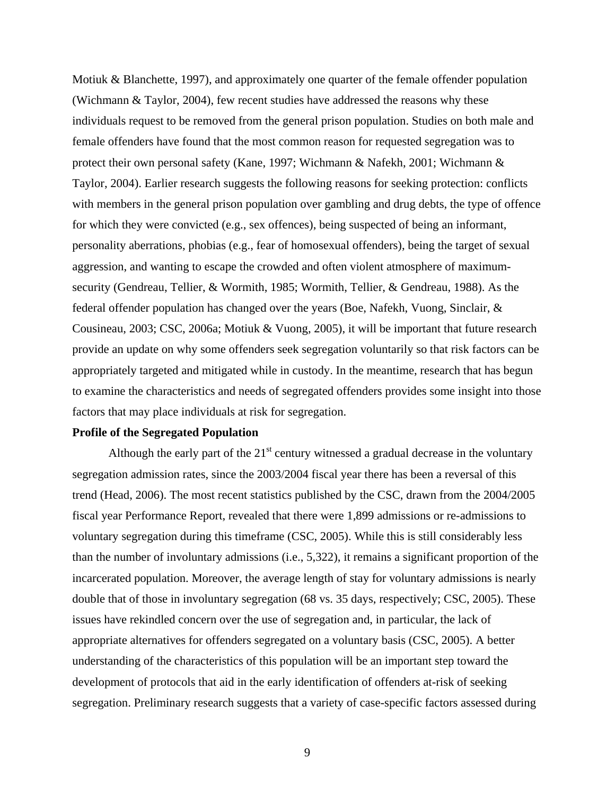<span id="page-8-0"></span>Motiuk & Blanchette, 1997), and approximately one quarter of the female offender population (Wichmann & Taylor, 2004), few recent studies have addressed the reasons why these individuals request to be removed from the general prison population. Studies on both male and female offenders have found that the most common reason for requested segregation was to protect their own personal safety (Kane, 1997; Wichmann & Nafekh, 2001; Wichmann & Taylor, 2004). Earlier research suggests the following reasons for seeking protection: conflicts with members in the general prison population over gambling and drug debts, the type of offence for which they were convicted (e.g., sex offences), being suspected of being an informant, personality aberrations, phobias (e.g., fear of homosexual offenders), being the target of sexual aggression, and wanting to escape the crowded and often violent atmosphere of maximumsecurity (Gendreau, Tellier, & Wormith, 1985; Wormith, Tellier, & Gendreau, 1988). As the federal offender population has changed over the years (Boe, Nafekh, Vuong, Sinclair, & Cousineau, 2003; CSC, 2006a; Motiuk & Vuong, 2005), it will be important that future research provide an update on why some offenders seek segregation voluntarily so that risk factors can be appropriately targeted and mitigated while in custody. In the meantime, research that has begun to examine the characteristics and needs of segregated offenders provides some insight into those factors that may place individuals at risk for segregation.

## **Profile of the Segregated Population**

Although the early part of the  $21<sup>st</sup>$  century witnessed a gradual decrease in the voluntary segregation admission rates, since the 2003/2004 fiscal year there has been a reversal of this trend (Head, 2006). The most recent statistics published by the CSC, drawn from the 2004/2005 fiscal year Performance Report, revealed that there were 1,899 admissions or re-admissions to voluntary segregation during this timeframe (CSC, 2005). While this is still considerably less than the number of involuntary admissions (i.e., 5,322), it remains a significant proportion of the incarcerated population. Moreover, the average length of stay for voluntary admissions is nearly double that of those in involuntary segregation (68 vs. 35 days, respectively; CSC, 2005). These issues have rekindled concern over the use of segregation and, in particular, the lack of appropriate alternatives for offenders segregated on a voluntary basis (CSC, 2005). A better understanding of the characteristics of this population will be an important step toward the development of protocols that aid in the early identification of offenders at-risk of seeking segregation. Preliminary research suggests that a variety of case-specific factors assessed during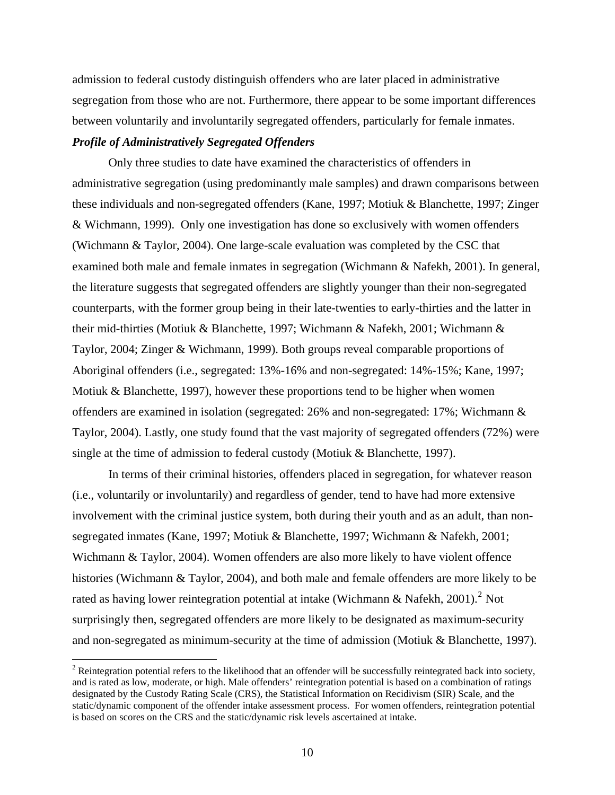<span id="page-9-0"></span>admission to federal custody distinguish offenders who are later placed in administrative segregation from those who are not. Furthermore, there appear to be some important differences between voluntarily and involuntarily segregated offenders, particularly for female inmates. *Profile of Administratively Segregated Offenders* 

 Only three studies to date have examined the characteristics of offenders in administrative segregation (using predominantly male samples) and drawn comparisons between these individuals and non-segregated offenders (Kane, 1997; Motiuk & Blanchette, 1997; Zinger & Wichmann, 1999). Only one investigation has done so exclusively with women offenders (Wichmann & Taylor, 2004). One large-scale evaluation was completed by the CSC that examined both male and female inmates in segregation (Wichmann & Nafekh, 2001). In general, the literature suggests that segregated offenders are slightly younger than their non-segregated counterparts, with the former group being in their late-twenties to early-thirties and the latter in their mid-thirties (Motiuk & Blanchette, 1997; Wichmann & Nafekh, 2001; Wichmann & Taylor, 2004; Zinger & Wichmann, 1999). Both groups reveal comparable proportions of Aboriginal offenders (i.e., segregated: 13%-16% and non-segregated: 14%-15%; Kane, 1997; Motiuk & Blanchette, 1997), however these proportions tend to be higher when women offenders are examined in isolation (segregated: 26% and non-segregated: 17%; Wichmann & Taylor, 2004). Lastly, one study found that the vast majority of segregated offenders (72%) were single at the time of admission to federal custody (Motiuk & Blanchette, 1997).

In terms of their criminal histories, offenders placed in segregation, for whatever reason (i.e., voluntarily or involuntarily) and regardless of gender, tend to have had more extensive involvement with the criminal justice system, both during their youth and as an adult, than nonsegregated inmates (Kane, 1997; Motiuk & Blanchette, 1997; Wichmann & Nafekh, 2001; Wichmann & Taylor, 2004). Women offenders are also more likely to have violent offence histories (Wichmann & Taylor, 2004), and both male and female offenders are more likely to be rated as having lower reintegration potential at intake (Wichmann & Nafekh, [2](#page-9-1)001).<sup>2</sup> Not surprisingly then, segregated offenders are more likely to be designated as maximum-security and non-segregated as minimum-security at the time of admission (Motiuk & Blanchette, 1997).

 $\overline{a}$ 

<span id="page-9-1"></span> $2^2$  Reintegration potential refers to the likelihood that an offender will be successfully reintegrated back into society, and is rated as low, moderate, or high. Male offenders' reintegration potential is based on a combination of ratings designated by the Custody Rating Scale (CRS), the Statistical Information on Recidivism (SIR) Scale, and the static/dynamic component of the offender intake assessment process. For women offenders, reintegration potential is based on scores on the CRS and the static/dynamic risk levels ascertained at intake.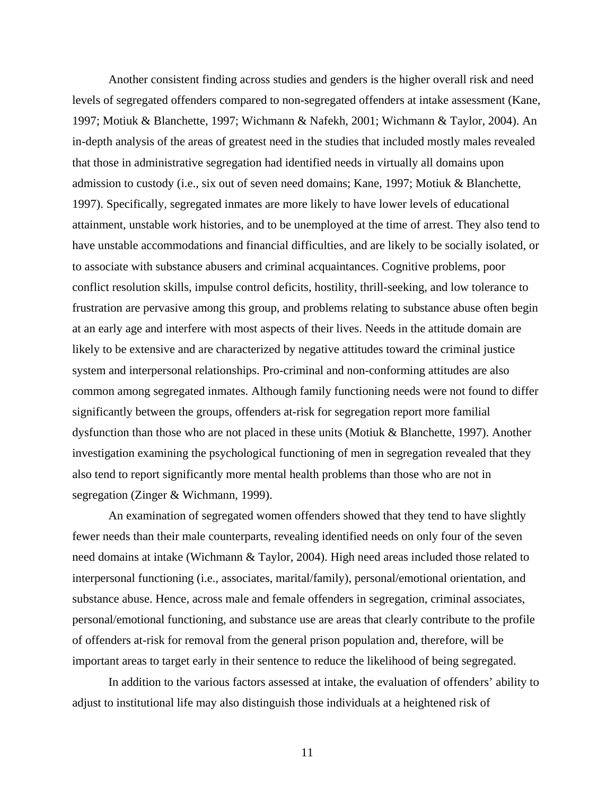Another consistent finding across studies and genders is the higher overall risk and need levels of segregated offenders compared to non-segregated offenders at intake assessment (Kane, 1997; Motiuk & Blanchette, 1997; Wichmann & Nafekh, 2001; Wichmann & Taylor, 2004). An in-depth analysis of the areas of greatest need in the studies that included mostly males revealed that those in administrative segregation had identified needs in virtually all domains upon admission to custody (i.e., six out of seven need domains; Kane, 1997; Motiuk & Blanchette, 1997). Specifically, segregated inmates are more likely to have lower levels of educational attainment, unstable work histories, and to be unemployed at the time of arrest. They also tend to have unstable accommodations and financial difficulties, and are likely to be socially isolated, or to associate with substance abusers and criminal acquaintances. Cognitive problems, poor conflict resolution skills, impulse control deficits, hostility, thrill-seeking, and low tolerance to frustration are pervasive among this group, and problems relating to substance abuse often begin at an early age and interfere with most aspects of their lives. Needs in the attitude domain are likely to be extensive and are characterized by negative attitudes toward the criminal justice system and interpersonal relationships. Pro-criminal and non-conforming attitudes are also common among segregated inmates. Although family functioning needs were not found to differ significantly between the groups, offenders at-risk for segregation report more familial dysfunction than those who are not placed in these units (Motiuk & Blanchette, 1997). Another investigation examining the psychological functioning of men in segregation revealed that they also tend to report significantly more mental health problems than those who are not in segregation (Zinger & Wichmann, 1999).

An examination of segregated women offenders showed that they tend to have slightly fewer needs than their male counterparts, revealing identified needs on only four of the seven need domains at intake (Wichmann & Taylor, 2004). High need areas included those related to interpersonal functioning (i.e., associates, marital/family), personal/emotional orientation, and substance abuse. Hence, across male and female offenders in segregation, criminal associates, personal/emotional functioning, and substance use are areas that clearly contribute to the profile of offenders at-risk for removal from the general prison population and, therefore, will be important areas to target early in their sentence to reduce the likelihood of being segregated.

In addition to the various factors assessed at intake, the evaluation of offenders' ability to adjust to institutional life may also distinguish those individuals at a heightened risk of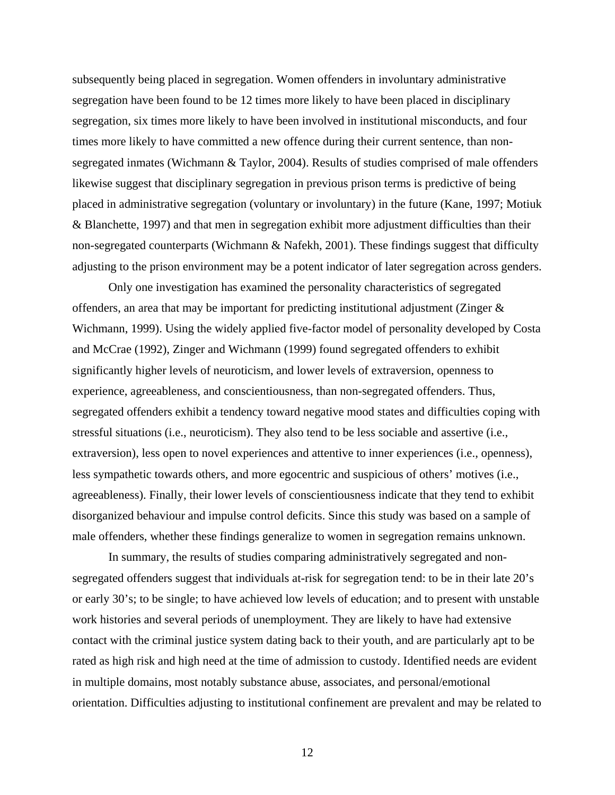subsequently being placed in segregation. Women offenders in involuntary administrative segregation have been found to be 12 times more likely to have been placed in disciplinary segregation, six times more likely to have been involved in institutional misconducts, and four times more likely to have committed a new offence during their current sentence, than nonsegregated inmates (Wichmann & Taylor, 2004). Results of studies comprised of male offenders likewise suggest that disciplinary segregation in previous prison terms is predictive of being placed in administrative segregation (voluntary or involuntary) in the future (Kane, 1997; Motiuk & Blanchette, 1997) and that men in segregation exhibit more adjustment difficulties than their non-segregated counterparts (Wichmann & Nafekh, 2001). These findings suggest that difficulty adjusting to the prison environment may be a potent indicator of later segregation across genders.

Only one investigation has examined the personality characteristics of segregated offenders, an area that may be important for predicting institutional adjustment (Zinger  $\&$ Wichmann, 1999). Using the widely applied five-factor model of personality developed by Costa and McCrae (1992), Zinger and Wichmann (1999) found segregated offenders to exhibit significantly higher levels of neuroticism, and lower levels of extraversion, openness to experience, agreeableness, and conscientiousness, than non-segregated offenders. Thus, segregated offenders exhibit a tendency toward negative mood states and difficulties coping with stressful situations (i.e., neuroticism). They also tend to be less sociable and assertive (i.e., extraversion), less open to novel experiences and attentive to inner experiences (i.e., openness), less sympathetic towards others, and more egocentric and suspicious of others' motives (i.e., agreeableness). Finally, their lower levels of conscientiousness indicate that they tend to exhibit disorganized behaviour and impulse control deficits. Since this study was based on a sample of male offenders, whether these findings generalize to women in segregation remains unknown.

In summary, the results of studies comparing administratively segregated and nonsegregated offenders suggest that individuals at-risk for segregation tend: to be in their late 20's or early 30's; to be single; to have achieved low levels of education; and to present with unstable work histories and several periods of unemployment. They are likely to have had extensive contact with the criminal justice system dating back to their youth, and are particularly apt to be rated as high risk and high need at the time of admission to custody. Identified needs are evident in multiple domains, most notably substance abuse, associates, and personal/emotional orientation. Difficulties adjusting to institutional confinement are prevalent and may be related to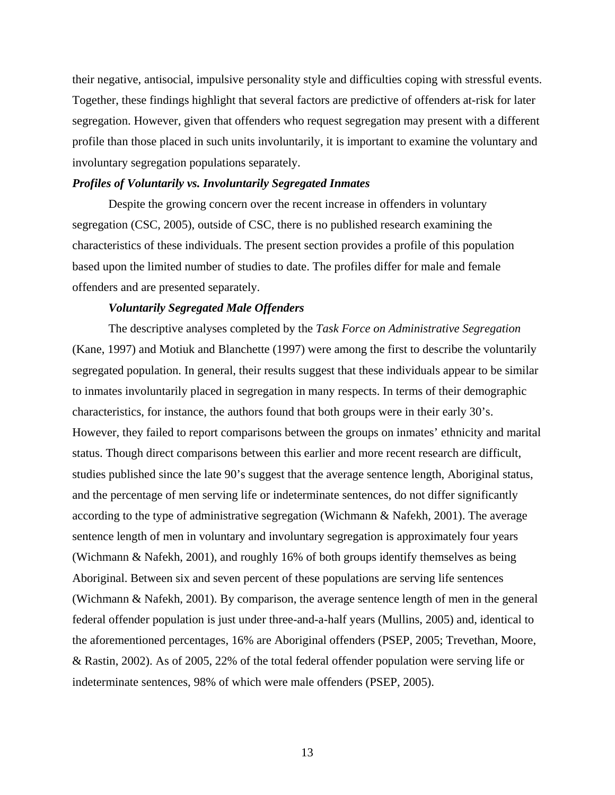<span id="page-12-0"></span>their negative, antisocial, impulsive personality style and difficulties coping with stressful events. Together, these findings highlight that several factors are predictive of offenders at-risk for later segregation. However, given that offenders who request segregation may present with a different profile than those placed in such units involuntarily, it is important to examine the voluntary and involuntary segregation populations separately.

## *Profiles of Voluntarily vs. Involuntarily Segregated Inmates*

 Despite the growing concern over the recent increase in offenders in voluntary segregation (CSC, 2005), outside of CSC, there is no published research examining the characteristics of these individuals. The present section provides a profile of this population based upon the limited number of studies to date. The profiles differ for male and female offenders and are presented separately.

#### *Voluntarily Segregated Male Offenders*

The descriptive analyses completed by the *Task Force on Administrative Segregation* (Kane, 1997) and Motiuk and Blanchette (1997) were among the first to describe the voluntarily segregated population. In general, their results suggest that these individuals appear to be similar to inmates involuntarily placed in segregation in many respects. In terms of their demographic characteristics, for instance, the authors found that both groups were in their early 30's. However, they failed to report comparisons between the groups on inmates' ethnicity and marital status. Though direct comparisons between this earlier and more recent research are difficult, studies published since the late 90's suggest that the average sentence length, Aboriginal status, and the percentage of men serving life or indeterminate sentences, do not differ significantly according to the type of administrative segregation (Wichmann & Nafekh, 2001). The average sentence length of men in voluntary and involuntary segregation is approximately four years (Wichmann & Nafekh, 2001), and roughly 16% of both groups identify themselves as being Aboriginal. Between six and seven percent of these populations are serving life sentences (Wichmann & Nafekh, 2001). By comparison, the average sentence length of men in the general federal offender population is just under three-and-a-half years (Mullins, 2005) and, identical to the aforementioned percentages, 16% are Aboriginal offenders (PSEP, 2005; Trevethan, Moore, & Rastin, 2002). As of 2005, 22% of the total federal offender population were serving life or indeterminate sentences, 98% of which were male offenders (PSEP, 2005).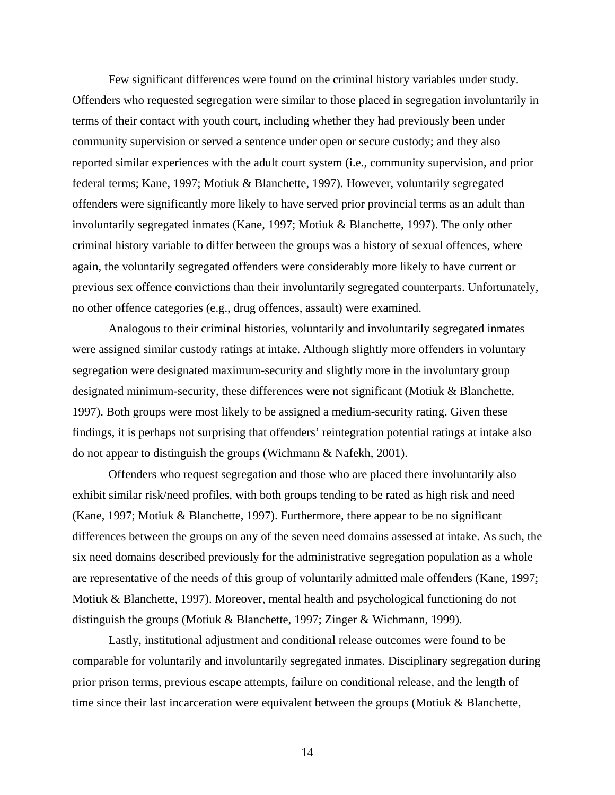Few significant differences were found on the criminal history variables under study. Offenders who requested segregation were similar to those placed in segregation involuntarily in terms of their contact with youth court, including whether they had previously been under community supervision or served a sentence under open or secure custody; and they also reported similar experiences with the adult court system (i.e., community supervision, and prior federal terms; Kane, 1997; Motiuk & Blanchette, 1997). However, voluntarily segregated offenders were significantly more likely to have served prior provincial terms as an adult than involuntarily segregated inmates (Kane, 1997; Motiuk & Blanchette, 1997). The only other criminal history variable to differ between the groups was a history of sexual offences, where again, the voluntarily segregated offenders were considerably more likely to have current or previous sex offence convictions than their involuntarily segregated counterparts. Unfortunately, no other offence categories (e.g., drug offences, assault) were examined.

Analogous to their criminal histories, voluntarily and involuntarily segregated inmates were assigned similar custody ratings at intake. Although slightly more offenders in voluntary segregation were designated maximum-security and slightly more in the involuntary group designated minimum-security, these differences were not significant (Motiuk & Blanchette, 1997). Both groups were most likely to be assigned a medium-security rating. Given these findings, it is perhaps not surprising that offenders' reintegration potential ratings at intake also do not appear to distinguish the groups (Wichmann & Nafekh, 2001).

Offenders who request segregation and those who are placed there involuntarily also exhibit similar risk/need profiles, with both groups tending to be rated as high risk and need (Kane, 1997; Motiuk & Blanchette, 1997). Furthermore, there appear to be no significant differences between the groups on any of the seven need domains assessed at intake. As such, the six need domains described previously for the administrative segregation population as a whole are representative of the needs of this group of voluntarily admitted male offenders (Kane, 1997; Motiuk & Blanchette, 1997). Moreover, mental health and psychological functioning do not distinguish the groups (Motiuk & Blanchette, 1997; Zinger & Wichmann, 1999).

Lastly, institutional adjustment and conditional release outcomes were found to be comparable for voluntarily and involuntarily segregated inmates. Disciplinary segregation during prior prison terms, previous escape attempts, failure on conditional release, and the length of time since their last incarceration were equivalent between the groups (Motiuk  $\&$  Blanchette,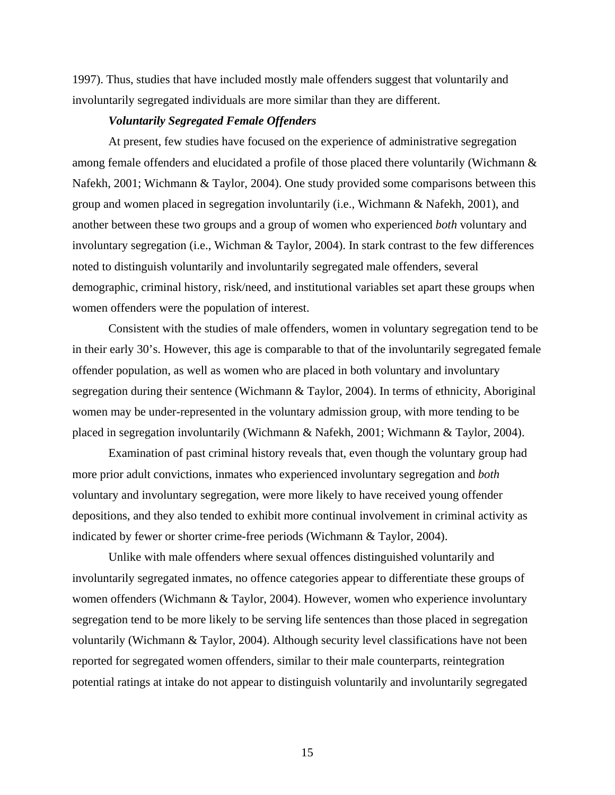<span id="page-14-0"></span>1997). Thus, studies that have included mostly male offenders suggest that voluntarily and involuntarily segregated individuals are more similar than they are different.

## *Voluntarily Segregated Female Offenders*

At present, few studies have focused on the experience of administrative segregation among female offenders and elucidated a profile of those placed there voluntarily (Wichmann & Nafekh, 2001; Wichmann & Taylor, 2004). One study provided some comparisons between this group and women placed in segregation involuntarily (i.e., Wichmann & Nafekh, 2001), and another between these two groups and a group of women who experienced *both* voluntary and involuntary segregation (i.e., Wichman & Taylor, 2004). In stark contrast to the few differences noted to distinguish voluntarily and involuntarily segregated male offenders, several demographic, criminal history, risk/need, and institutional variables set apart these groups when women offenders were the population of interest.

Consistent with the studies of male offenders, women in voluntary segregation tend to be in their early 30's. However, this age is comparable to that of the involuntarily segregated female offender population, as well as women who are placed in both voluntary and involuntary segregation during their sentence (Wichmann & Taylor, 2004). In terms of ethnicity, Aboriginal women may be under-represented in the voluntary admission group, with more tending to be placed in segregation involuntarily (Wichmann & Nafekh, 2001; Wichmann & Taylor, 2004).

Examination of past criminal history reveals that, even though the voluntary group had more prior adult convictions, inmates who experienced involuntary segregation and *both* voluntary and involuntary segregation, were more likely to have received young offender depositions, and they also tended to exhibit more continual involvement in criminal activity as indicated by fewer or shorter crime-free periods (Wichmann & Taylor, 2004).

Unlike with male offenders where sexual offences distinguished voluntarily and involuntarily segregated inmates, no offence categories appear to differentiate these groups of women offenders (Wichmann & Taylor, 2004). However, women who experience involuntary segregation tend to be more likely to be serving life sentences than those placed in segregation voluntarily (Wichmann & Taylor, 2004). Although security level classifications have not been reported for segregated women offenders, similar to their male counterparts, reintegration potential ratings at intake do not appear to distinguish voluntarily and involuntarily segregated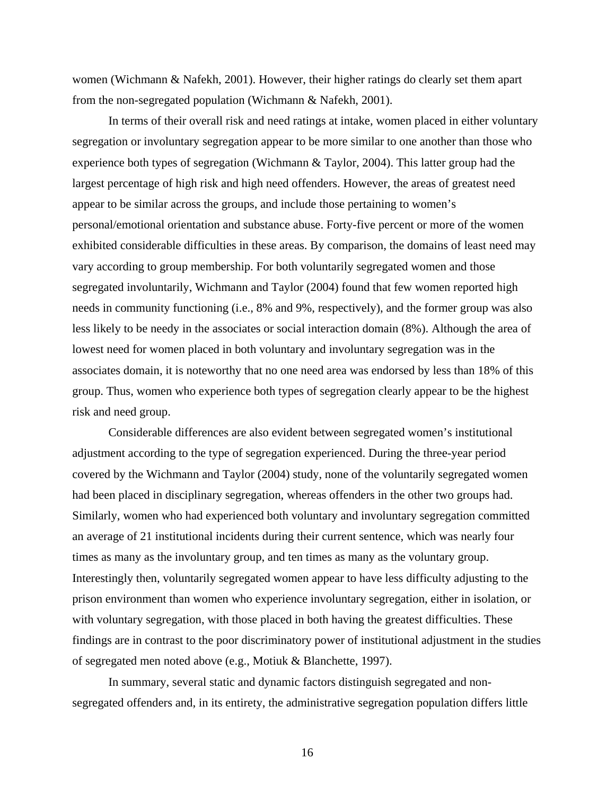women (Wichmann & Nafekh, 2001). However, their higher ratings do clearly set them apart from the non-segregated population (Wichmann & Nafekh, 2001).

In terms of their overall risk and need ratings at intake, women placed in either voluntary segregation or involuntary segregation appear to be more similar to one another than those who experience both types of segregation (Wichmann & Taylor, 2004). This latter group had the largest percentage of high risk and high need offenders. However, the areas of greatest need appear to be similar across the groups, and include those pertaining to women's personal/emotional orientation and substance abuse. Forty-five percent or more of the women exhibited considerable difficulties in these areas. By comparison, the domains of least need may vary according to group membership. For both voluntarily segregated women and those segregated involuntarily, Wichmann and Taylor (2004) found that few women reported high needs in community functioning (i.e., 8% and 9%, respectively), and the former group was also less likely to be needy in the associates or social interaction domain (8%). Although the area of lowest need for women placed in both voluntary and involuntary segregation was in the associates domain, it is noteworthy that no one need area was endorsed by less than 18% of this group. Thus, women who experience both types of segregation clearly appear to be the highest risk and need group.

Considerable differences are also evident between segregated women's institutional adjustment according to the type of segregation experienced. During the three-year period covered by the Wichmann and Taylor (2004) study, none of the voluntarily segregated women had been placed in disciplinary segregation, whereas offenders in the other two groups had. Similarly, women who had experienced both voluntary and involuntary segregation committed an average of 21 institutional incidents during their current sentence, which was nearly four times as many as the involuntary group, and ten times as many as the voluntary group. Interestingly then, voluntarily segregated women appear to have less difficulty adjusting to the prison environment than women who experience involuntary segregation, either in isolation, or with voluntary segregation, with those placed in both having the greatest difficulties. These findings are in contrast to the poor discriminatory power of institutional adjustment in the studies of segregated men noted above (e.g., Motiuk & Blanchette, 1997).

 In summary, several static and dynamic factors distinguish segregated and nonsegregated offenders and, in its entirety, the administrative segregation population differs little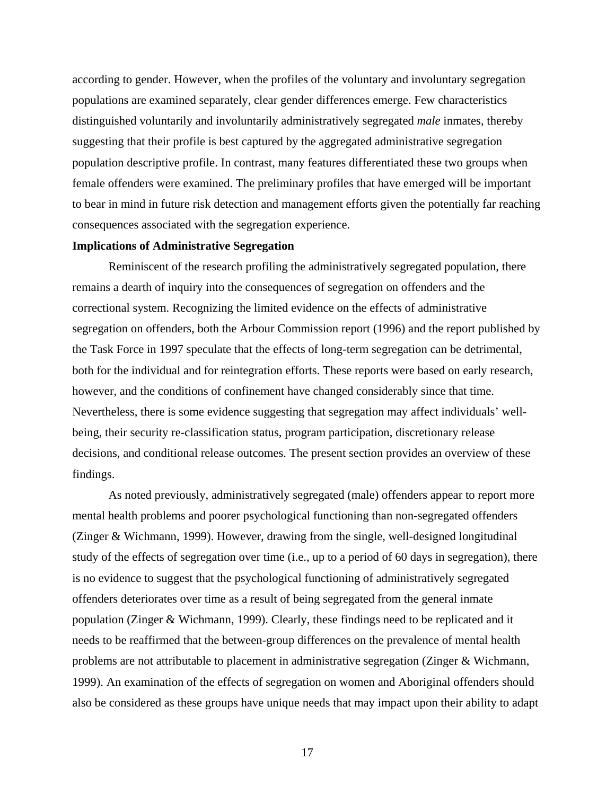<span id="page-16-0"></span>according to gender. However, when the profiles of the voluntary and involuntary segregation populations are examined separately, clear gender differences emerge. Few characteristics distinguished voluntarily and involuntarily administratively segregated *male* inmates, thereby suggesting that their profile is best captured by the aggregated administrative segregation population descriptive profile. In contrast, many features differentiated these two groups when female offenders were examined. The preliminary profiles that have emerged will be important to bear in mind in future risk detection and management efforts given the potentially far reaching consequences associated with the segregation experience.

## **Implications of Administrative Segregation**

 Reminiscent of the research profiling the administratively segregated population, there remains a dearth of inquiry into the consequences of segregation on offenders and the correctional system. Recognizing the limited evidence on the effects of administrative segregation on offenders, both the Arbour Commission report (1996) and the report published by the Task Force in 1997 speculate that the effects of long-term segregation can be detrimental, both for the individual and for reintegration efforts. These reports were based on early research, however, and the conditions of confinement have changed considerably since that time. Nevertheless, there is some evidence suggesting that segregation may affect individuals' wellbeing, their security re-classification status, program participation, discretionary release decisions, and conditional release outcomes. The present section provides an overview of these findings.

As noted previously, administratively segregated (male) offenders appear to report more mental health problems and poorer psychological functioning than non-segregated offenders (Zinger & Wichmann, 1999). However, drawing from the single, well-designed longitudinal study of the effects of segregation over time (i.e., up to a period of 60 days in segregation), there is no evidence to suggest that the psychological functioning of administratively segregated offenders deteriorates over time as a result of being segregated from the general inmate population (Zinger & Wichmann, 1999). Clearly, these findings need to be replicated and it needs to be reaffirmed that the between-group differences on the prevalence of mental health problems are not attributable to placement in administrative segregation (Zinger & Wichmann, 1999). An examination of the effects of segregation on women and Aboriginal offenders should also be considered as these groups have unique needs that may impact upon their ability to adapt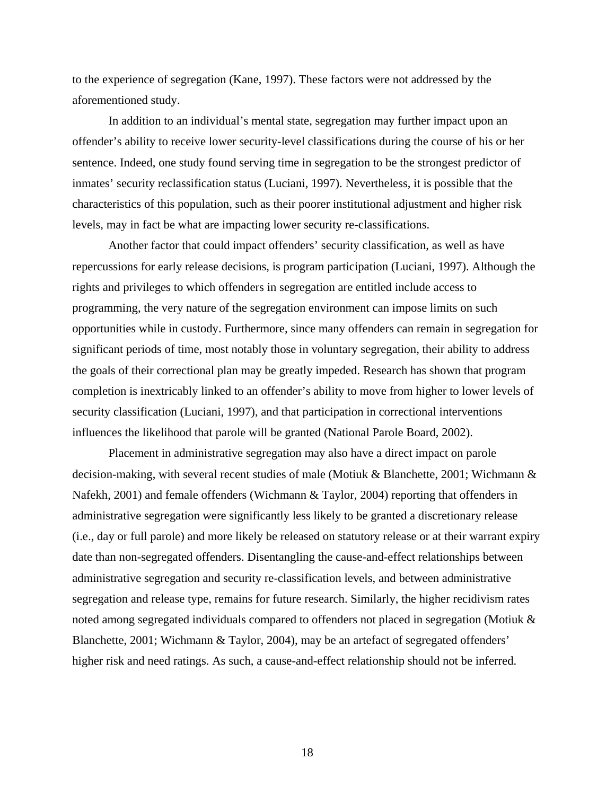to the experience of segregation (Kane, 1997). These factors were not addressed by the aforementioned study.

In addition to an individual's mental state, segregation may further impact upon an offender's ability to receive lower security-level classifications during the course of his or her sentence. Indeed, one study found serving time in segregation to be the strongest predictor of inmates' security reclassification status (Luciani, 1997). Nevertheless, it is possible that the characteristics of this population, such as their poorer institutional adjustment and higher risk levels, may in fact be what are impacting lower security re-classifications.

Another factor that could impact offenders' security classification, as well as have repercussions for early release decisions, is program participation (Luciani, 1997). Although the rights and privileges to which offenders in segregation are entitled include access to programming, the very nature of the segregation environment can impose limits on such opportunities while in custody. Furthermore, since many offenders can remain in segregation for significant periods of time, most notably those in voluntary segregation, their ability to address the goals of their correctional plan may be greatly impeded. Research has shown that program completion is inextricably linked to an offender's ability to move from higher to lower levels of security classification (Luciani, 1997), and that participation in correctional interventions influences the likelihood that parole will be granted (National Parole Board, 2002).

 Placement in administrative segregation may also have a direct impact on parole decision-making, with several recent studies of male (Motiuk & Blanchette, 2001; Wichmann & Nafekh, 2001) and female offenders (Wichmann & Taylor, 2004) reporting that offenders in administrative segregation were significantly less likely to be granted a discretionary release (i.e., day or full parole) and more likely be released on statutory release or at their warrant expiry date than non-segregated offenders. Disentangling the cause-and-effect relationships between administrative segregation and security re-classification levels, and between administrative segregation and release type, remains for future research. Similarly, the higher recidivism rates noted among segregated individuals compared to offenders not placed in segregation (Motiuk & Blanchette, 2001; Wichmann & Taylor, 2004), may be an artefact of segregated offenders' higher risk and need ratings. As such, a cause-and-effect relationship should not be inferred.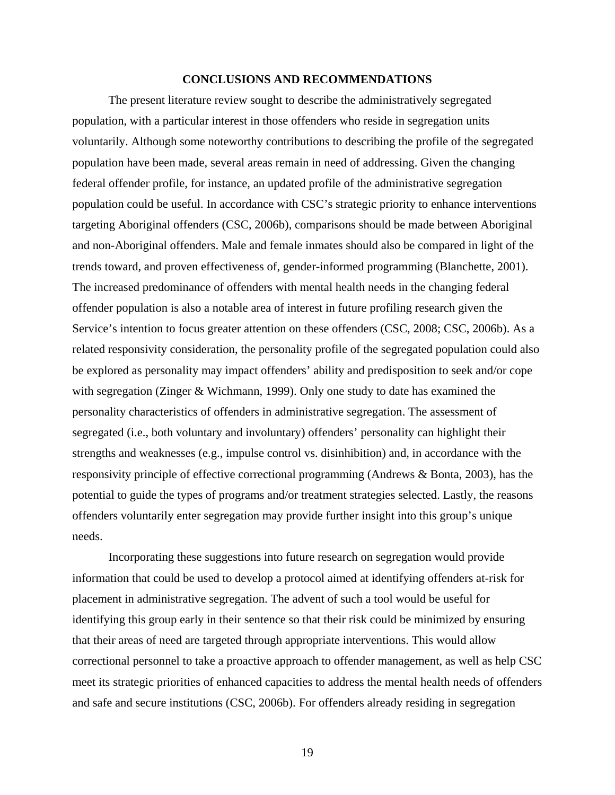#### **CONCLUSIONS AND RECOMMENDATIONS**

<span id="page-18-0"></span>The present literature review sought to describe the administratively segregated population, with a particular interest in those offenders who reside in segregation units voluntarily. Although some noteworthy contributions to describing the profile of the segregated population have been made, several areas remain in need of addressing. Given the changing federal offender profile, for instance, an updated profile of the administrative segregation population could be useful. In accordance with CSC's strategic priority to enhance interventions targeting Aboriginal offenders (CSC, 2006b), comparisons should be made between Aboriginal and non-Aboriginal offenders. Male and female inmates should also be compared in light of the trends toward, and proven effectiveness of, gender-informed programming (Blanchette, 2001). The increased predominance of offenders with mental health needs in the changing federal offender population is also a notable area of interest in future profiling research given the Service's intention to focus greater attention on these offenders (CSC, 2008; CSC, 2006b). As a related responsivity consideration, the personality profile of the segregated population could also be explored as personality may impact offenders' ability and predisposition to seek and/or cope with segregation (Zinger & Wichmann, 1999). Only one study to date has examined the personality characteristics of offenders in administrative segregation. The assessment of segregated (i.e., both voluntary and involuntary) offenders' personality can highlight their strengths and weaknesses (e.g., impulse control vs. disinhibition) and, in accordance with the responsivity principle of effective correctional programming (Andrews & Bonta, 2003), has the potential to guide the types of programs and/or treatment strategies selected. Lastly, the reasons offenders voluntarily enter segregation may provide further insight into this group's unique needs.

Incorporating these suggestions into future research on segregation would provide information that could be used to develop a protocol aimed at identifying offenders at-risk for placement in administrative segregation. The advent of such a tool would be useful for identifying this group early in their sentence so that their risk could be minimized by ensuring that their areas of need are targeted through appropriate interventions. This would allow correctional personnel to take a proactive approach to offender management, as well as help CSC meet its strategic priorities of enhanced capacities to address the mental health needs of offenders and safe and secure institutions (CSC, 2006b). For offenders already residing in segregation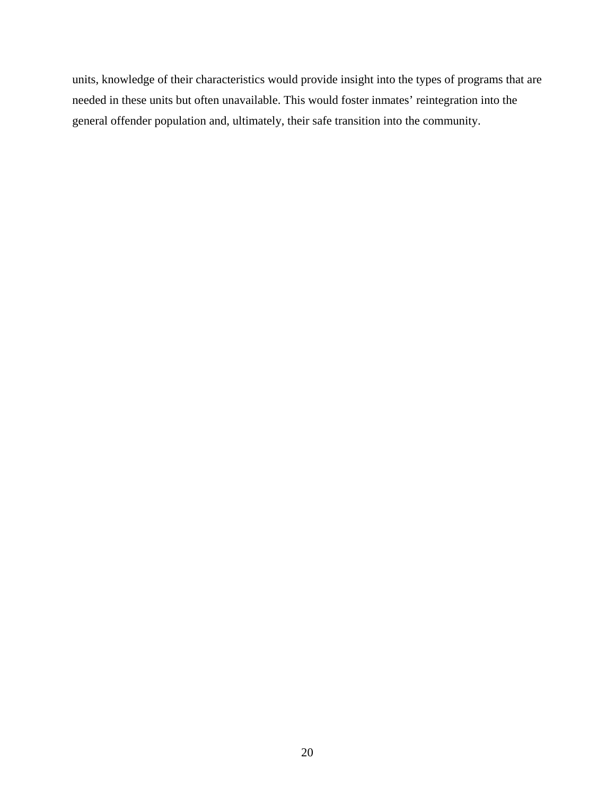units, knowledge of their characteristics would provide insight into the types of programs that are needed in these units but often unavailable. This would foster inmates' reintegration into the general offender population and, ultimately, their safe transition into the community.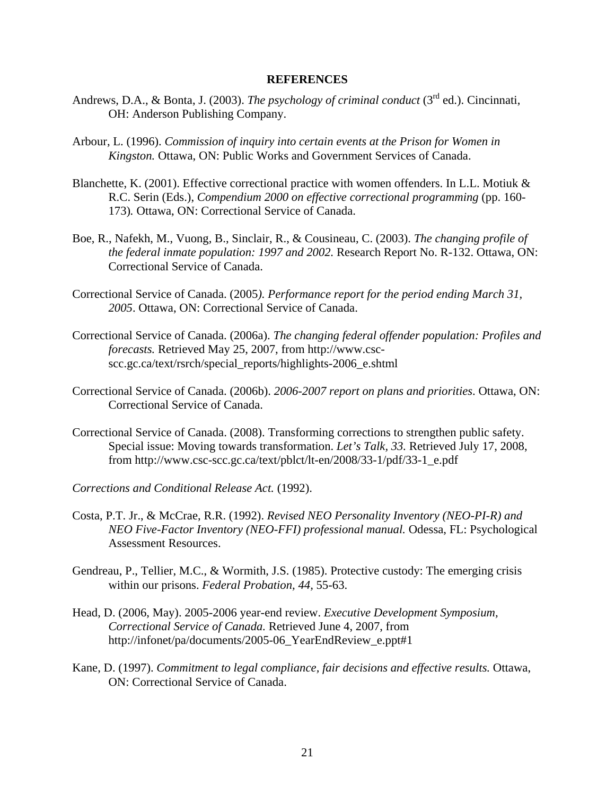## **REFERENCES**

- <span id="page-20-0"></span>Andrews, D.A., & Bonta, J. (2003). *The psychology of criminal conduct* (3<sup>rd</sup> ed.). Cincinnati, OH: Anderson Publishing Company.
- Arbour, L. (1996). *Commission of inquiry into certain events at the Prison for Women in Kingston.* Ottawa, ON: Public Works and Government Services of Canada.
- Blanchette, K. (2001). Effective correctional practice with women offenders. In L.L. Motiuk & R.C. Serin (Eds.), *Compendium 2000 on effective correctional programming* (pp. 160- 173)*.* Ottawa, ON: Correctional Service of Canada.
- Boe, R., Nafekh, M., Vuong, B., Sinclair, R., & Cousineau, C. (2003). *The changing profile of the federal inmate population: 1997 and 2002.* Research Report No. R-132. Ottawa, ON: Correctional Service of Canada.
- Correctional Service of Canada. (2005*). Performance report for the period ending March 31, 2005*. Ottawa, ON: Correctional Service of Canada.
- Correctional Service of Canada. (2006a). *The changing federal offender population: Profiles and forecasts.* Retrieved May 25, 2007, from http://www.cscscc.gc.ca/text/rsrch/special\_reports/highlights-2006\_e.shtml
- Correctional Service of Canada. (2006b). *2006-2007 report on plans and priorities*. Ottawa, ON: Correctional Service of Canada.
- Correctional Service of Canada. (2008). Transforming corrections to strengthen public safety. Special issue: Moving towards transformation. *Let's Talk, 33.* Retrieved July 17, 2008, from http://www.csc-scc.gc.ca/text/pblct/lt-en/2008/33-1/pdf/33-1\_e.pdf
- *Corrections and Conditional Release Act.* (1992).
- Costa, P.T. Jr., & McCrae, R.R. (1992). *Revised NEO Personality Inventory (NEO-PI-R) and NEO Five-Factor Inventory (NEO-FFI) professional manual.* Odessa, FL: Psychological Assessment Resources.
- Gendreau, P., Tellier, M.C., & Wormith, J.S. (1985). Protective custody: The emerging crisis within our prisons. *Federal Probation, 44,* 55-63.
- Head, D. (2006, May). 2005-2006 year-end review. *Executive Development Symposium, Correctional Service of Canada.* Retrieved June 4, 2007, from http://infonet/pa/documents/2005-06\_YearEndReview\_e.ppt#1
- Kane, D. (1997). *Commitment to legal compliance, fair decisions and effective results.* Ottawa, ON: Correctional Service of Canada.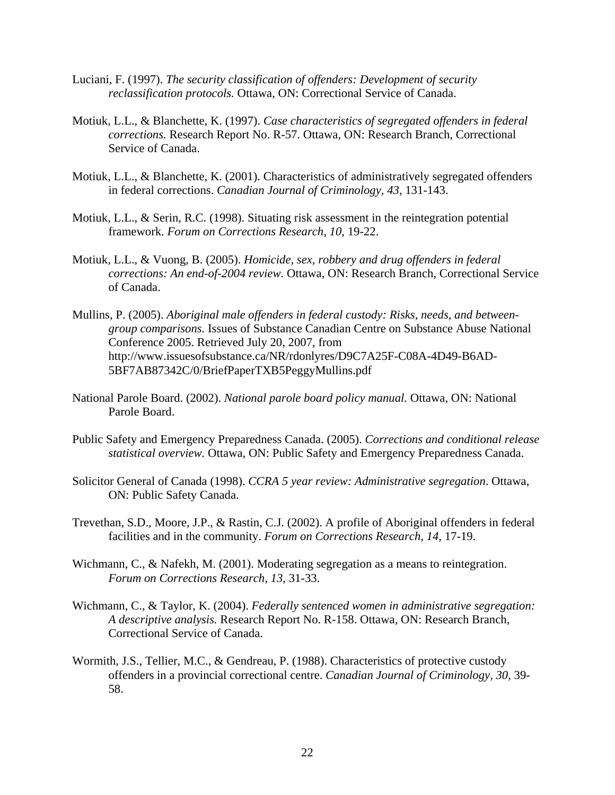- Luciani, F. (1997). *The security classification of offenders: Development of security reclassification protocols.* Ottawa, ON: Correctional Service of Canada.
- Motiuk, L.L., & Blanchette, K. (1997). *Case characteristics of segregated offenders in federal corrections.* Research Report No. R-57. Ottawa, ON: Research Branch, Correctional Service of Canada.
- Motiuk, L.L., & Blanchette, K. (2001). Characteristics of administratively segregated offenders in federal corrections. *Canadian Journal of Criminology, 43,* 131-143.
- Motiuk, L.L., & Serin, R.C. (1998). Situating risk assessment in the reintegration potential framework. *Forum on Corrections Research, 10,* 19-22.
- Motiuk, L.L., & Vuong, B. (2005). *Homicide, sex, robbery and drug offenders in federal corrections: An end-of-2004 review.* Ottawa, ON: Research Branch, Correctional Service of Canada.
- Mullins, P. (2005). *Aboriginal male offenders in federal custody: Risks, needs, and betweengroup comparisons.* Issues of Substance Canadian Centre on Substance Abuse National Conference 2005. Retrieved July 20, 2007, from http://www.issuesofsubstance.ca/NR/rdonlyres/D9C7A25F-C08A-4D49-B6AD-5BF7AB87342C/0/BriefPaperTXB5PeggyMullins.pdf
- National Parole Board. (2002). *National parole board policy manual.* Ottawa, ON: National Parole Board.
- Public Safety and Emergency Preparedness Canada. (2005). *Corrections and conditional release statistical overview.* Ottawa, ON: Public Safety and Emergency Preparedness Canada.
- Solicitor General of Canada (1998). *CCRA 5 year review: Administrative segregation*. Ottawa, ON: Public Safety Canada.
- Trevethan, S.D., Moore, J.P., & Rastin, C.J. (2002). A profile of Aboriginal offenders in federal facilities and in the community. *Forum on Corrections Research, 14,* 17-19.
- Wichmann, C., & Nafekh, M. (2001). Moderating segregation as a means to reintegration. *Forum on Corrections Research, 13,* 31-33.
- Wichmann, C., & Taylor, K. (2004). *Federally sentenced women in administrative segregation: A descriptive analysis.* Research Report No. R-158. Ottawa, ON: Research Branch, Correctional Service of Canada.
- Wormith, J.S., Tellier, M.C., & Gendreau, P. (1988). Characteristics of protective custody offenders in a provincial correctional centre. *Canadian Journal of Criminology, 30,* 39- 58.